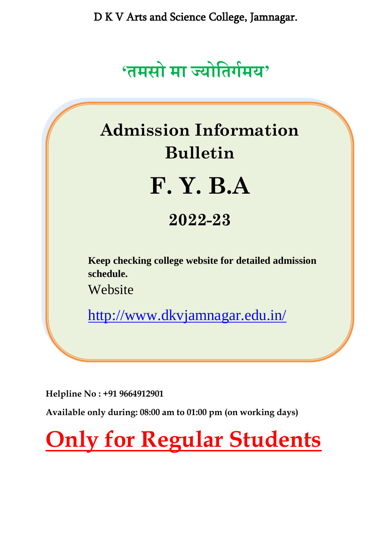

# **Admission Information Bulletin F. Y. B.A 2022-23 Keep checking college website for detailed admission schedule.** Website <http://www.dkvjamnagar.edu.in/>

**Helpline No : +91 9664912901**

**Available only during: 08:00 am to 01:00 pm (on working days)**

**Only for Regular Students**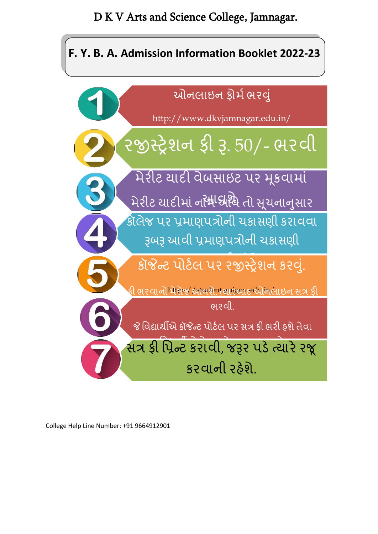## **F. Y. B. A. Admission Information Booklet 2022-23**



College Help Line Number: +91 9664912901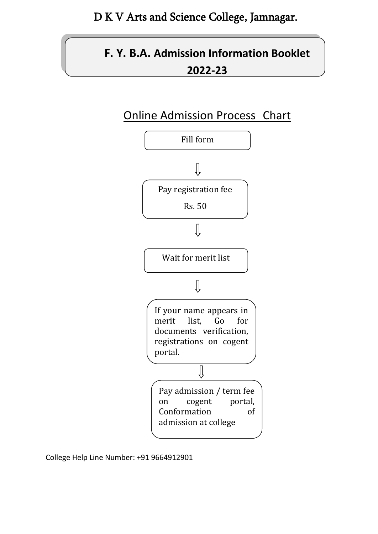## **F. Y. B.A. Admission Information Booklet 2022-23**





College Help Line Number: +91 9664912901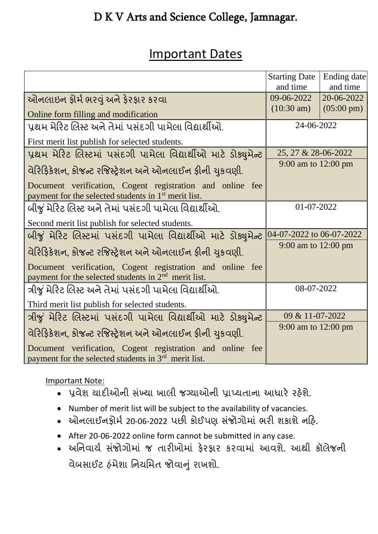## Important Dates

|                                                                                                                               | <b>Starting Date</b>        | Ending date          |
|-------------------------------------------------------------------------------------------------------------------------------|-----------------------------|----------------------|
|                                                                                                                               | and time                    | and time             |
| ઓનલાઇન ફોર્મ ભરવું અને ફેરફાર કરવા                                                                                            | 09-06-2022                  | 20-06-2022           |
| Online form filling and modification                                                                                          | $(10:30 \text{ am})$        | $(05:00 \text{ pm})$ |
| પ્રથમ મેરિટ લિસ્ટ અને તેમાં પસંદગી પામેલા વિદ્યાર્થીઓ.                                                                        | 24-06-2022                  |                      |
| First merit list publish for selected students.                                                                               |                             |                      |
| પ્રથમ મેરિટ લિસ્ટમાં પસંદગી પામેલા વિદ્યાર્થીઓ માટે ડોક્યુમેન્ટ                                                               | 25, 27 & 28-06-2022         |                      |
| વેરિફિકેશન, કોજન્ટ રજિસ્ટ્રેશન અને ઓનલાઈન ફીની યુકવણી.                                                                        | 9:00 am to 12:00 pm         |                      |
| Document verification, Cogent registration and online fee<br>payment for the selected students in 1 <sup>st</sup> merit list. |                             |                      |
| બીજું મેરિટ લિસ્ટ અને તેમાં પસંદગી પામેલા વિદ્યાર્થીઓ.                                                                        | 01-07-2022                  |                      |
| Second merit list publish for selected students.                                                                              |                             |                      |
| બીજું મેરિટ લિસ્ટમાં પસંદગી પામેલા વિદ્યાર્થીઓ માટે ડોક્યુમેન્ટ                                                               | $[04-07-2022$ to 06-07-2022 |                      |
| વેરિફિકેશન, કોજન્ટ રજિસ્ટ્રેશન અને ઓનલાઈન ફીની ચુકવણી.                                                                        | 9:00 am to 12:00 pm         |                      |
| Document verification, Cogent registration and online fee<br>payment for the selected students in $2nd$ merit list.           |                             |                      |
| ત્રીજું મેરિટ લિસ્ટ અને તેમાં પસંદગી પામેલા વિદ્યાર્થીઓ.                                                                      | 08-07-2022                  |                      |
| Third merit list publish for selected students.                                                                               |                             |                      |
| ત્રીજું મેરિટ લિસ્ટમાં પસંદગી પામેલા વિદ્યાર્થીઓ માટે ડોક્યુમેન્ટ                                                             | 09 & 11-07-2022             |                      |
| વેરિફિકેશન, કોજન્ટ રજિસ્ટ્રેશન અને ઓનલાઈન ફીની યુકવણી.                                                                        | 9:00 am to 12:00 pm         |                      |
| Document verification, Cogent registration and online fee<br>payment for the selected students in 3 <sup>rd</sup> merit list. |                             |                      |

Important Note:

- પ્રવેશ યાદીઓની સંખ્યા ખાલી જગ્યાઓની પ્રાપ્યતાના આધારે રહેશે.
- Number of merit list will be subject to the availability of vacancies.
- ઓનલાઈનફોર્મ 20-06-2022 પછી કોઈપણ સંજોગોમાં ભરી શકાશે નહિ.
- After 20-06-2022 online form cannot be submitted in any case.
- અનિવાર્ય સંજોગોમાં જ તારીખોમાં ફેરફાર કરવામાં આવશે. આથી કૉલેજની વેબસાઈટ હંમેશા નિયમિત જોવાનું રાખશો.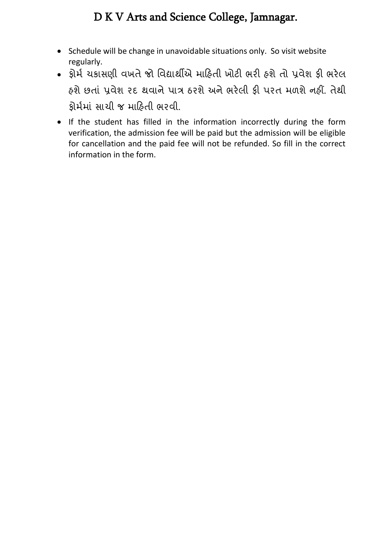- Schedule will be change in unavoidable situations only. So visit website regularly.
- ફોર્મ ચકાસણી વખતેજો વવદ્યાર્થીએ ર્ારહતી ખોટી ભરી હશેતો પ્રવેશ ફી ભરેલ હશેછતાું પ્રવેશ રદ ર્થવાનેપાત્ર ઠરશેઅનેભરેલી ફી પરત ર્ળશેનહીં. તેર્થી ફોર્મર્ાું સાચી જ ર્ારહતી ભરવી.
- If the student has filled in the information incorrectly during the form verification, the admission fee will be paid but the admission will be eligible for cancellation and the paid fee will not be refunded. So fill in the correct information in the form.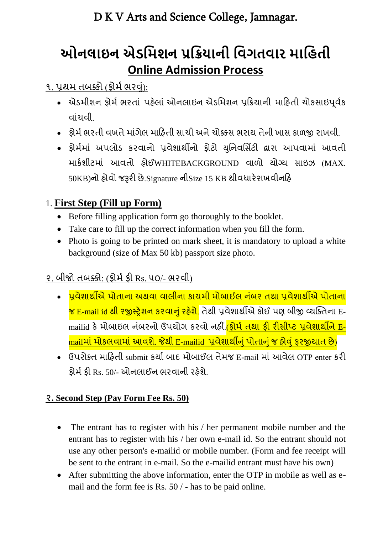## **ઓનલાઇન એડમિશન પ્રમિયાની મિગતિાર િામિતી Online Admission Process**

#### ૧. પ્રથમ તબક્કો (ફોર્મ ભરવું):

- એડમીશન ફોર્મ ભરતાં પહેલાં ઓનલાઇન એડમિશન પ્રક્રિયાની માહિતી ચોકસાઇપૂર્વક વાુંચવી.
- કોર્મ ભરતી વખતે માંગેલ માહિતી સાચી અને ચોક્કસ ભરાય તેની ખાસ કાળજી રાખવી.
- ફ્રોર્મમાં અપલોડ કરવાનો પ્રવેશાર્થીનો ફોટો યુનિવર્સિટી દ્વારા આપવામાં આવતી ર્ાકમશીટર્ાું આવતો હોઈWHITEBACKGROUND વાળો યોગ્ય સાઇઝ (MAX. 50KB)નો હોવો જરૂરી છે.Signature નીSize 15 KB ર્થીવધારેરાખવીનરહ

#### 1. **First Step (Fill up Form)**

- Before filling application form go thoroughly to the booklet.
- Take care to fill up the correct information when you fill the form.
- Photo is going to be printed on mark sheet, it is mandatory to upload a white background (size of Max 50 kb) passport size photo.

## ૨. બીજો તબક્કો: (ફોર્મફી Rs. ૫૦/- ભરવી)

- પૂવેશાર્થીએ પોતાના અથવા વાલીના કાયમી મોબાઈલ નંબર તથા પ્રવેશાર્થીએ પોતાના <mark>જ E-mail id થી રજીસ્ટ્રેશન કરવાનું રહેશે.</mark> તેથી પ્રવેશાર્થીએ કોઈ પણ બીજી વ્યક્તિના Emailid કે મોબાઇલ નંબરનો ઉપયોગ કરવો નહીં.<mark>(ફોર્મ તથા ફી રીસીપ્ટ પ્રવેશાર્થીને E-</mark> mailમાં મોકલવામાં આવશે. જેથી E-mailid પ્રવેશાર્થીનું પોતાનું જ હોવું ફરજીયાત છે)
- ઉપરોક્ત માહિતી submit કર્યા બાદ મોબાઈલ તેમજ E-mail માં આવેલ OTP enter કરી ફોર્મફી Rs. 50/- ઓનલાઈન ભરવાની રહેશે.

#### **૨. Second Step (Pay Form Fee Rs. 50)**

- The entrant has to register with his / her permanent mobile number and the entrant has to register with his / her own e-mail id. So the entrant should not use any other person's e-mailid or mobile number. (Form and fee receipt will be sent to the entrant in e-mail. So the e-mailid entrant must have his own)
- After submitting the above information, enter the OTP in mobile as well as email and the form fee is Rs. 50 / - has to be paid online.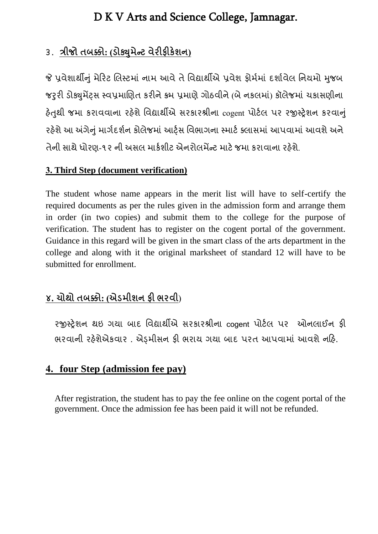#### ૩. **ત્રીજો તબક્કો: (ડોક્યમુ ેન્ટ વેરીફીકેશન)**

જે પ્રવેશાર્થીનું મેરિટ લિસ્ટમાં નામ આવે તે વિદ્યાર્થીએ પ્રવેશ ફોર્મમાં દર્શાવેલ નિયમો મુજબ જરૂરી ડોક્યુમેંટ્સ સ્વપ્રમાણિત કરીને ક્રમ પ્રમાણે ગોઠવીને (બે નકલમાં) કૉલેજમાં ચકાસણીના હેતુથી જમા કરાવવાના રહેશે વિદ્યાર્થીએ સરકારશ્રીના cogent પોર્ટલ પર રજીસ્ટ્રેશન કરવાનું રહેશે આ અંગેનું માર્ગદર્શન કોલેજમાં આર્ટ્સ વિભાગના સ્માર્ટ ક્લાસમાં આપવામાં આવશે અને તેની સાથે ધોરણ-૧૨ ની અસલ માર્કશીટ એનરોલમેંન્ટ માટે જમા કરાવાના રહેશે.

#### **3. Third Step (document verification)**

The student whose name appears in the merit list will have to self-certify the required documents as per the rules given in the admission form and arrange them in order (in two copies) and submit them to the college for the purpose of verification. The student has to register on the cogent portal of the government. Guidance in this regard will be given in the smart class of the arts department in the college and along with it the original marksheet of standard 12 will have to be submitted for enrollment.

### **૪. ચોથો તબક્કો: (એડમીશન ફી ભરવી**)

રજીસ્ટ્રેશન થઇ ગયા બાદ વિદ્યાર્થીએ સરકારશ્રીના cogent પોર્ટલ પર ઓનલાઈન ફી ભરવાની રહેશેએકવાર . એડ્રમીસન ફી ભરાય ગયા બાદ પરત આપવામાં આવશે નહિ.

#### **4. four Step (admission fee pay)**

After registration, the student has to pay the fee online on the cogent portal of the government. Once the admission fee has been paid it will not be refunded.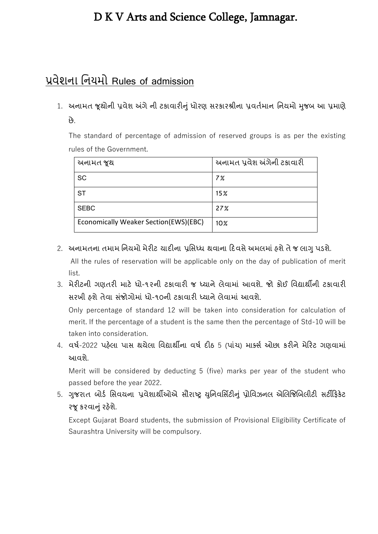## પ્રવેશના નનયમો Rules of admission

1. અનામત જૂથોની પ્રવેશ અંગે ની ટકાવારીનું ધોરણ સરકારશ્રીના પ્રવર્તમાન નિયમો મુજબ આ પ્રમાણે છે.

The standard of percentage of admission of reserved groups is as per the existing rules of the Government.

| અનામત જૂથ                             | અનામત પ્રવેશ અંગેની ટકાવારી |
|---------------------------------------|-----------------------------|
| SC                                    | 7%                          |
| ST                                    | 15 <sub>%</sub>             |
| <b>SEBC</b>                           | 27%                         |
| Economically Weaker Section(EWS)(EBC) | 10 <sub>2</sub>             |

- 2. અનામતના તમામ નિયમો મેરીટ યાદીના પ્રસિધ્ધ થવાના દિવસે અમલમાં હશે તે જ લાગુ પડશે. All the rules of reservation will be applicable only on the day of publication of merit list.
- 3. મેરીટની ગણતરી માટે ધો-૧૨ની ટકાવારી જ ધ્યાને લેવામાં આવશે. જો કોઈ વિદ્યાર્થીની ટકાવારી સરખી હશે તેવા સંજોગોમાં ધો-૧૦ની ટકાવારી ધ્યાને લેવામાં આવશે.

Only percentage of standard 12 will be taken into consideration for calculation of merit. If the percentage of a student is the same then the percentage of Std-10 will be taken into consideration.

4. વર્ષ-2022 પહેલા પાસ થયેલા વિદ્યાર્થીના વર્ષ દીઠ 5 (પાંચ) માર્ક્સ ઓછા કરીને મેરિટ ગણવામાં આવશે.

Merit will be considered by deducting 5 (five) marks per year of the student who passed before the year 2022.

5. ગુજરાત બોર્ડ સિવયના પ્રવેશાર્થીઓએ સૌરાષ્ટ્ર યુનિવર્સિટીનું પ્રોવિઝનલ એલિજિબિલીટી સર્ટીફિકેટ રજૂ કરવાનું રહેશે.

Except Gujarat Board students, the submission of Provisional Eligibility Certificate of Saurashtra University will be compulsory.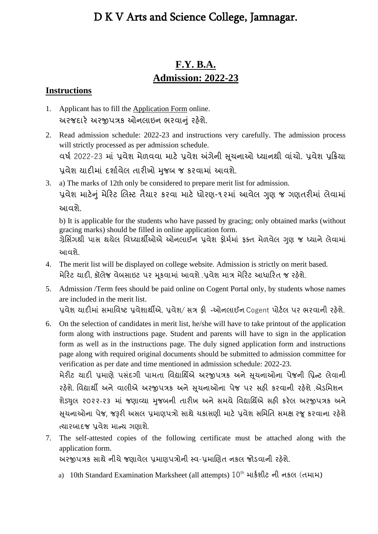#### **F.Y. B.A. Admission: 2022-23**

#### **Instructions**

- 1. Applicant has to fill the Application Form online. અરજદારે અરજીપત્રક ઓનલાઇન ભરવાનું રહેશે.
- 2. Read admission schedule: 2022-23 and instructions very carefully. The admission process will strictly processed as per admission schedule. વર્ષ 2022-23 માં પ્રવેશ મેળવવા માટે પ્રવેશ અંગેની સચનાઓ ધ્યાનથી વાંચો. પ્રવેશ પ્રક્રિયા પ્રવેશ યાદીમાં દર્શાવેલ તારીખો મુજબ જ કરવામાં આવશે.
- 3. a) The marks of 12th only be considered to prepare merit list for admission. પ્રવેશ માટેનું મેરિટ લિસ્ટ તૈયાર કરવા માટે ધોરણ-૧૨માં આવેલ ગુણ જ ગણતરીમાં લેવામાં આવશે.

b) It is applicable for the students who have passed by gracing; only obtained marks (without gracing marks) should be filled in online application form.

ગ્રેસિંગથી પાસ થયેલ વિધ્યાર્થીઓએ ઓનલાઈન પ્રવેશ કોર્મમાં ફક્ત મેળવેલ ગણ જ ધ્યાને લેવામાં આવશે.

- 4. The merit list will be displayed on college website. Admission is strictly on merit based. મેરિટ યાદી, કૉલેજ વેબસાઇટ પર મૂકવામાં આવશે .પ્રવેશ માત્ર મેરિટ આધારિત જ રહેશે.
- 5. Admission /Term fees should be paid online on Cogent Portal only, by students whose names are included in the merit list. પ્રવેશ યાદીમાં સમાવિષ્ટ પ્રવેશાર્થીએ, પ્રવેશ/ સત્ર ફી -ઓનલાઈન Cogent પોર્ટલ પર ભરવાની રહેશે.
- 6. On the selection of candidates in merit list, he/she will have to take printout of the application form along with instructions page. Student and parents will have to sign in the application form as well as in the instructions page. The duly signed application form and instructions page along with required original documents should be submitted to admission committee for verification as per date and time mentioned in admission schedule: 2022-23.

મેરીટ યાદી પ્રમાણે પસંદગી પામતા વિદ્યાર્થિએ અરજીપત્રક અને સૂચનાઓના પેજની પ્રિન્ટ લેવાની રહેશે. વિદ્યાર્થી અને વાલીએ અરજીપત્રક અને સચનાઓના પેજ પર સહી કરવાની રહેશે .એડમિશન શેડ્યલ ૨૦૨૨-૨૩ માં જણાવ્યા મુજબની તારીખ અને સમચે વિદ્યાર્થિએ સહી કરેલ અરજીપત્રક અને સુચનાઓના પેજ, જરૂરી અસલ પ્રમાણપત્રો સાથે ચકાસણી માટે પ્રવેશ સમિતિ સમક્ષ રજૂ કરવાના રહેશે ત્યારબાદજ પ્રવેશ ર્ાન્ય ગણાશે .

7. The self-attested copies of the following certificate must be attached along with the application form. અરજીપત્રક સાર્થે નીચે જણાવેલ પ્રર્ાણપત્રોની સ્ટ્વ-પ્રર્ાલણત નકલ જોડવાની રહેશે.

a) 10th Standard Examination Marksheet (all attempts)  $10^{\text{th}}$  માર્કશીટ ની નકલ (તમામ)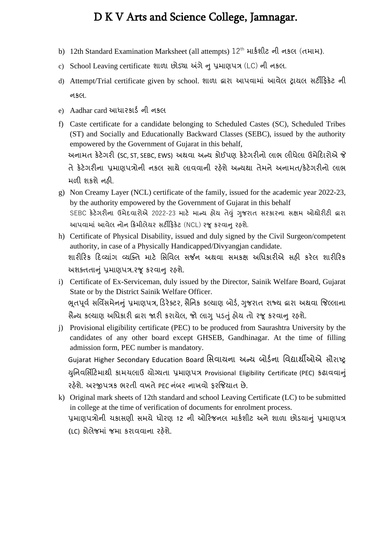- b) 12th Standard Examination Marksheet (all attempts) 12<sup>th</sup> માર્કશીટ ની નકલ (તમામ).
- c) School Leaving certificate શાળા છોડયા અંગેન પ્રર્ાણપત્ર (LC) ની નકલ.
- d) Attempt/Trial certificate given by school. શાળા દ્વારા આપવાર્ાું આવેલ રાયલ સટીરફકેટ ની નકલ.
- e) Aadhar card આધારકાર્ડની નકલ
- f) Caste certificate for a candidate belonging to Scheduled Castes (SC), Scheduled Tribes (ST) and Socially and Educationally Backward Classes (SEBC), issued by the authority empowered by the Government of Gujarat in this behalf, અનામત કેટેગરી (SC, ST, SEBC, EWS) અથવા અન્ય કોઈપણ કેટેગરીનો લાભ લીધેલા ઉમેદિારોએ જે તેકેટેગરીના પ્રર્ાણપત્રોની નકલ સાર્થેલાવવાની રહેશેઅન્યર્થા તેર્નેઅનાર્ત/કેટેગરીનો લાભ ર્ળી શકશેનહી.
- g) Non Creamy Layer (NCL) certificate of the family, issued for the academic year 2022-23, by the authority empowered by the Government of Gujarat in this behalf SEBC કેટેગરીના ઉમેદવારોએ 2022-23 માટે માન્ય હોય તેવં ગુજરાત સરકારના સક્ષમ ઓથોરીટી દ્વારા આપવામાં આવેલ નોન ક્રિમીલેયર સર્ટીફિકેટ (NCL) રજૂ કરવાનુ રહશે.
- h) Certificate of Physical Disability, issued and duly signed by the Civil Surgeon/competent authority, in case of a Physically Handicapped/Divyangjan candidate. શારીરિક દિવ્યાંગ વ્યક્તિ માટે સિવિલ સર્જન અથવા સમકક્ષ અધિકારીએ સહી કરેલ શારીરિક અશક્તતાનું પ્રમાણપત્ર.રજૂ કરવાન રહશે.
- i) Certificate of Ex-Serviceman, duly issued by the Director, Sainik Welfare Board, Gujarat State or by the District Sainik Welfare Officer. ભુતપૂર્વ સર્વિસમેનનું પ્રમાણપત્ર, ડિરેક્ટર, સૈનિક કલ્યાણ બોર્ડ, ગુજરાત રાજ્ય દ્વારા અથવા જિલ્લાના સૈન્ય કલ્યાણ અધિકારી દ્વારા જારી કરાયેલ, જો લાગુ પડતું હોય તો રજૂ કરવાનુ રહશે.
- j) Provisional eligibility certificate (PEC) to be produced from Saurashtra University by the candidates of any other board except GHSEB, Gandhinagar. At the time of filling admission form, PEC number is mandatory. Gujarat Higher Secondary Education Board વસવાયના અન્ય બોડમના વવદ્યાર્થીઓએ સૌરાષ્ટ્ર યુનિવર્સિટિમાથી કામચલાઉ યોગ્યતા પ્રમાણપત્ર Provisional Eligibility Certificate (PEC) કઢાવવાનું રઠેશે. અરજીપત્રક ભરતી વખતે PEC નંબર નાખવો કરજિયાત છે.
- k) Original mark sheets of 12th standard and school Leaving Certificate (LC) to be submitted in college at the time of verification of documents for enrolment process. પ્રમાણપત્રોની ચકાસણી સમચે ધોરણ 12 ની ઓરિજનલ માર્કશીટ અને શાળા છોડયાનું પ્રમાણપત્ર (LC) કોલેજર્ાું જર્ા કરાવવાના રહેશે.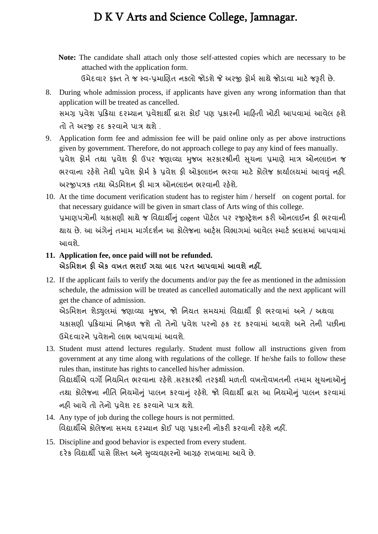- **Note:** The candidate shall attach only those self-attested copies which are necessary to be attached with the application form. ઉર્ેદવાર ફતત તે જ સ્ટ્વ-પ્રર્ાલણત નકલો જોડશે જે અરજી ફોર્મ સાર્થે જોડાવા ર્ાટે જરૂરી છે.
- 8. During whole admission process, if applicants have given any wrong information than that application will be treated as cancelled. સર્ગ્ર પ્રવેશ પ્રરિયા દરમ્યાન પ્રવેશાર્થી દ્વારા કોઈ પણ પ્રકારની ર્ારહતી ખોટી આપવાર્ાું આવેલ હશે તો તે અરજી રદ કરવાને પાત્ર ર્થશે .
- 9. Application form fee and admission fee will be paid online only as per above instructions given by government. Therefore, do not approach college to pay any kind of fees manually. પ્રવેશ ફોર્મ તથા પ્રવેશ ફી ઉપર જણાવ્યા મુજબ સરકારશ્રીની સુચના પ્રમાણે માત્ર ઓનલાઇન જ ભરવાના રહેશે તેથી પ્રવેશ ફોર્મ કે પ્રવેશ ફી ઓફલાઇન ભરવા માટે કોલેજ કાર્યાલયમાં આવવું નહી. અરજીપત્રક તર્થા એડવર્શન ફી ર્ાત્ર ઓનલાઇન ભરવાની રહેશે.
- 10. At the time document verification student has to register him / herself on cogent portal. for that necessary guidance will be given in smart class of Arts wing of this college. પ્રમાણપત્રોની ચકાસણી સાથે જ વિદ્યાર્થીનું cogent પોર્ટલ પર રજીસ્ટ્રેશન કરી ઓનલાઈન ફી ભરવાની થાય છે. આ અંગેનું તમામ માર્ગદર્શન આ કોલેજના આર્ટસ વિભાગમાં આવેલ સ્માર્ટ ક્લાસમાં આપવામાં આવશે.

#### **11. Application fee, once paid will not be refunded.**

**એડમમશન ફી એક વખત ભરાઈ ગયા બાદ પરત આપવામાાં આવશેનહીં .**

12. If the applicant fails to verify the documents and/or pay the fee as mentioned in the admission schedule, the admission will be treated as cancelled automatically and the next applicant will get the chance of admission.

એડમિશન શેડ્યલમાં જણાવ્યા મુજબ, જો નિયત સમયમાં વિદ્યાર્થી કી ભરવામાં અને / અથવા ચકાસણી પ્રરિયાર્ાું વનષ્ટ્ફળ જશે તો તેનો પ્રવેશ પરનો હક રદ કરવાર્ાું આવશે અને તેની પછીના ઉર્ેદવારને પ્રવેશનો લાભ આપવાર્ાું આવશે .

13. Student must attend lectures regularly. Student must follow all instructions given from government at any time along with regulations of the college. If he/she fails to follow these rules than, institute has rights to cancelled his/her admission. વિદ્યાર્થીએ વર્ગો નિયમિત ભરવાના રહેશે .સરકારશ્રી તરફથી મળતી વખતોવખતની તમામ સુચનાઓનું તથા કોલેજના નીતિ નિયમોનું પાલન કરવાનું રહેશે. જો વિદ્યાર્થી દ્વારા આ નિયમોનું પાલન કરવામાં

નહી આવે તો તેનો પ્રવેશ રદ કરવાને પાત્ર ર્થશે .

- 14. Any type of job during the college hours is not permitted. વવદ્યાર્થીએ કોલેજના સર્ય દરમ્યાન કોઈ પણ પ્રકારની નોકરી કરવાની રહેશે નહીં.
- 15. Discipline and good behavior is expected from every student. દરેક વિદ્યાર્થી પાસે શિસ્ત અને સૃવ્યવહારનો આગ્રહ રાખવામા આવે છે.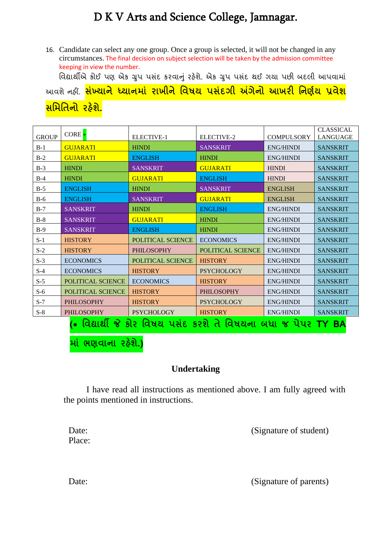16. Candidate can select any one group. Once a group is selected, it will not be changed in any circumstances. The final decision on subject selection will be taken by the admission committee keeping in view the number. વિદ્યાર્થીએ કોઈ પણ એક ગ્રુપ પસંદ કરવાનું રહેશે. એક ગ્રુપ પસંદ થઈ ગયા પછી બદલી આપવામાં આવશે નહીં. **સખ્ાં યાનેધ્યાનમાાં રાખીનેમવષય પસાંદગી અંગેનો આખરી મનર્ણય પ્રવેશ**

**સમમમતનો રહશે ે.**

| <b>GROUP</b>                                                | $CORE*$           | <b>ELECTIVE-1</b>        | ELECTIVE-2               | <b>COMPULSORY</b> | <b>CLASSICAL</b><br><b>LANGUAGE</b> |  |
|-------------------------------------------------------------|-------------------|--------------------------|--------------------------|-------------------|-------------------------------------|--|
| $B-1$                                                       | <b>GUJARATI</b>   | <b>HINDI</b>             | <b>SANSKRIT</b>          | <b>ENG/HINDI</b>  | <b>SANSKRIT</b>                     |  |
| $B-2$                                                       | <b>GUJARATI</b>   | <b>ENGLISH</b>           | <b>HINDI</b>             | <b>ENG/HINDI</b>  | <b>SANSKRIT</b>                     |  |
| $B-3$                                                       | <b>HINDI</b>      | <b>SANSKRIT</b>          | <b>GUJARATI</b>          | <b>HINDI</b>      | <b>SANSKRIT</b>                     |  |
| $B-4$                                                       | <b>HINDI</b>      | <b>GUJARATI</b>          | <b>ENGLISH</b>           | <b>HINDI</b>      | <b>SANSKRIT</b>                     |  |
| $B-5$                                                       | <b>ENGLISH</b>    | <b>HINDI</b>             | <b>SANSKRIT</b>          | <b>ENGLISH</b>    | <b>SANSKRIT</b>                     |  |
| $B-6$                                                       | <b>ENGLISH</b>    | <b>SANSKRIT</b>          | <b>GUJARATI</b>          | <b>ENGLISH</b>    | <b>SANSKRIT</b>                     |  |
| $B-7$                                                       | <b>SANSKRIT</b>   | <b>HINDI</b>             | <b>ENGLISH</b>           | <b>ENG/HINDI</b>  | <b>SANSKRIT</b>                     |  |
| $B-8$                                                       | <b>SANSKRIT</b>   | <b>GUJARATI</b>          | <b>HINDI</b>             | <b>ENG/HINDI</b>  | <b>SANSKRIT</b>                     |  |
| $B-9$                                                       | <b>SANSKRIT</b>   | <b>ENGLISH</b>           | <b>HINDI</b>             | <b>ENG/HINDI</b>  | <b>SANSKRIT</b>                     |  |
| $S-1$                                                       | <b>HISTORY</b>    | <b>POLITICAL SCIENCE</b> | <b>ECONOMICS</b>         | <b>ENG/HINDI</b>  | <b>SANSKRIT</b>                     |  |
| $S-2$                                                       | <b>HISTORY</b>    | <b>PHILOSOPHY</b>        | <b>POLITICAL SCIENCE</b> | <b>ENG/HINDI</b>  | <b>SANSKRIT</b>                     |  |
| $S-3$                                                       | <b>ECONOMICS</b>  | <b>POLITICAL SCIENCE</b> | <b>HISTORY</b>           | <b>ENG/HINDI</b>  | <b>SANSKRIT</b>                     |  |
| $S-4$                                                       | <b>ECONOMICS</b>  | <b>HISTORY</b>           | <b>PSYCHOLOGY</b>        | <b>ENG/HINDI</b>  | <b>SANSKRIT</b>                     |  |
| $S-5$                                                       | POLITICAL SCIENCE | <b>ECONOMICS</b>         | <b>HISTORY</b>           | <b>ENG/HINDI</b>  | <b>SANSKRIT</b>                     |  |
| $S-6$                                                       | POLITICAL SCIENCE | <b>HISTORY</b>           | <b>PHILOSOPHY</b>        | <b>ENG/HINDI</b>  | <b>SANSKRIT</b>                     |  |
| $S-7$                                                       | <b>PHILOSOPHY</b> | <b>HISTORY</b>           | <b>PSYCHOLOGY</b>        | <b>ENG/HINDI</b>  | <b>SANSKRIT</b>                     |  |
| $S-8$                                                       | <b>PHILOSOPHY</b> | <b>PSYCHOLOGY</b>        | <b>HISTORY</b>           | <b>ENG/HINDI</b>  | <b>SANSKRIT</b>                     |  |
| વિદ્યાર્થી જે કોર વિષય પસંદ કરશે તે વિષયના બધા જ પેપર TY BA |                   |                          |                          |                   |                                     |  |

**માાં ભર્વાના રહશે ે.)**

#### **Undertaking**

I have read all instructions as mentioned above. I am fully agreed with the points mentioned in instructions.

Date: (Signature of student)

Place:

Date: (Signature of parents)